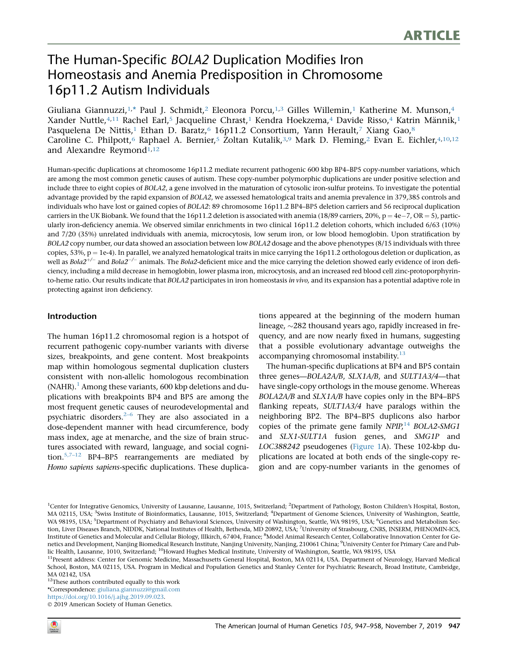# The Human-Specific BOLA2 Duplication Modifies Iron Homeostasis and Anemia Predisposition in Chromosome 16p11.2 Autism Individuals

Giuliana Giannuzzi, $1,^*$  $1,^*$  Paul J. Schmidt, $^2$  Eleonora Porcu, $1,^3$  $1,^3$  Gilles Willemin, $^1$  Katherine M. Munson, $^4$  $^4$ Xander Nuttle,<sup>[4,](#page-0-2)11</sup> Rachel Earl,<sup>[5](#page-0-3)</sup> Jacqueline Chrast,<sup>[1](#page-0-0)</sup> Kendra Hoekzema,<sup>4</sup> Davide Risso,<sup>4</sup> Katrin Männik,<sup>1</sup> Pasquelena De Nittis,<sup>1</sup> Ethan D. Baratz,<sup>[6](#page-0-3)</sup> 16p11.2 Consortium, Yann Herault,<sup>7</sup> Xiang Gao,<sup>[8](#page-0-5)</sup> Caroline C. Philpott,<sup>6</sup> Raphael A. Bernier,<sup>[5](#page-0-3)</sup> Zoltan Kutalik,<sup>[3](#page-0-2)[,9](#page-0-6)</sup> Mark D. Fleming,<sup>2</sup> Evan E. Eichler,<sup>4,[10](#page-0-7),12</sup> and Alexandre Reymond<sup>[1,](#page-0-0)12</sup>

Human-specific duplications at chromosome 16p11.2 mediate recurrent pathogenic 600 kbp BP4–BP5 copy-number variations, which are among the most common genetic causes of autism. These copy-number polymorphic duplications are under positive selection and include three to eight copies of BOLA2, a gene involved in the maturation of cytosolic iron-sulfur proteins. To investigate the potential advantage provided by the rapid expansion of BOLA2, we assessed hematological traits and anemia prevalence in 379,385 controls and individuals who have lost or gained copies of BOLA2: 89 chromosome 16p11.2 BP4–BP5 deletion carriers and 56 reciprocal duplication carriers in the UK Biobank. We found that the 16p11.2 deletion is associated with anemia (18/89 carriers, 20%,  $p = 4e-7$ , OR  $= 5$ ), particularly iron-deficiency anemia. We observed similar enrichments in two clinical 16p11.2 deletion cohorts, which included 6/63 (10%) and 7/20 (35%) unrelated individuals with anemia, microcytosis, low serum iron, or low blood hemoglobin. Upon stratification by BOLA2 copy number, our data showed an association between low BOLA2 dosage and the above phenotypes (8/15 individuals with three copies, 53%,  $p = 1e-4$ ). In parallel, we analyzed hematological traits in mice carrying the 16p11.2 orthologous deletion or duplication, as well as Bola2<sup>+/-</sup> and Bola2<sup>-/-</sup> animals. The Bola2-deficient mice and the mice carrying the deletion showed early evidence of iron deficiency, including a mild decrease in hemoglobin, lower plasma iron, microcytosis, and an increased red blood cell zinc-protoporphyrinto-heme ratio. Our results indicate that BOLA2 participates in iron homeostasis in vivo, and its expansion has a potential adaptive role in protecting against iron deficiency.

#### Introduction

The human 16p11.2 chromosomal region is a hotspot of recurrent pathogenic copy-number variants with diverse sizes, breakpoints, and gene content. Most breakpoints map within homologous segmental duplication clusters consistent with non-allelic homologous recombination  $(NAHR).<sup>1</sup>$  $(NAHR).<sup>1</sup>$  $(NAHR).<sup>1</sup>$  Among these variants, 600 kbp deletions and duplications with breakpoints BP4 and BP5 are among the most frequent genetic causes of neurodevelopmental and psychiatric disorders. $2-6$  They are also associated in a dose-dependent manner with head circumference, body mass index, age at menarche, and the size of brain structures associated with reward, language, and social cognition.<sup>5,7-12</sup> BP4-BP5 rearrangements are mediated by Homo sapiens sapiens-specific duplications. These duplications appeared at the beginning of the modern human lineage,  $\sim$ 282 thousand years ago, rapidly increased in frequency, and are now nearly fixed in humans, suggesting that a possible evolutionary advantage outweighs the accompanying chromosomal instability. $13$ 

The human-specific duplications at BP4 and BP5 contain three genes—BOLA2A/B, SLX1A/B, and SULT1A3/4—that have single-copy orthologs in the mouse genome. Whereas BOLA2A/B and SLX1A/B have copies only in the BP4–BP5 flanking repeats, SULT1A3/4 have paralogs within the neighboring BP2. The BP4–BP5 duplicons also harbor copies of the primate gene family  $NPIP,^{14}$  $NPIP,^{14}$  $NPIP,^{14}$  BOLA2-SMG1 and SLX1-SULT1A fusion genes, and SMG1P and LOC388242 pseudogenes [\(Figure 1A](#page-1-0)). These 102-kbp duplications are located at both ends of the single-copy region and are copy-number variants in the genomes of

<sup>12</sup>These authors contributed equally to this work

<span id="page-0-1"></span>\*Correspondence: [giuliana.giannuzzi@gmail.com](mailto:giuliana.giannuzzi@gmail.com)

[https://doi.org/10.1016/j.ajhg.2019.09.023.](https://doi.org/10.1016/j.ajhg.2019.09.023)

2019 American Society of Human Genetics.

<span id="page-0-4"></span><span id="page-0-3"></span><span id="page-0-2"></span><span id="page-0-0"></span><sup>&</sup>lt;sup>1</sup>Center for Integrative Genomics, University of Lausanne, Lausanne, 1015, Switzerland; <sup>2</sup>Department of Pathology, Boston Children's Hospital, Boston, MA 02115, USA; <sup>3</sup>Swiss Institute of Bioinformatics, Lausanne, 1015, Switzerland; <sup>4</sup>Department of Genome Sciences, University of Washington, Seattle, WA 98195, USA; <sup>5</sup>Department of Psychiatry and Behavioral Sciences, University of Washington, Seattle, WA 98195, USA; <sup>6</sup>Genetics and Metabolism Section, Liver Diseases Branch, NIDDK, National Institutes of Health, Bethesda, MD 20892, USA; <sup>7</sup>University of Strasbourg, CNRS, INSERM, PHENOMIN-ICS, Institute of Genetics and Molecular and Cellular Biology, Illkirch, 67404, France; <sup>8</sup>Model Animal Research Center, Collaborative Innovation Center for Genetics and Development, Nanjing Biomedical Research Institute, Nanjing University, Nanjing, 210061 China; <sup>9</sup>University Center for Primary Care and Public Health, Lausanne, 1010, Switzerland; 10Howard Hughes Medical Institute, University of Washington, Seattle, WA 98195, USA

<span id="page-0-7"></span><span id="page-0-6"></span><span id="page-0-5"></span><sup>&</sup>lt;sup>11</sup>Present address: Center for Genomic Medicine, Massachusetts General Hospital, Boston, MA 02114, USA. Department of Neurology, Harvard Medical School, Boston, MA 02115, USA. Program in Medical and Population Genetics and Stanley Center for Psychiatric Research, Broad Institute, Cambridge, MA 02142, USA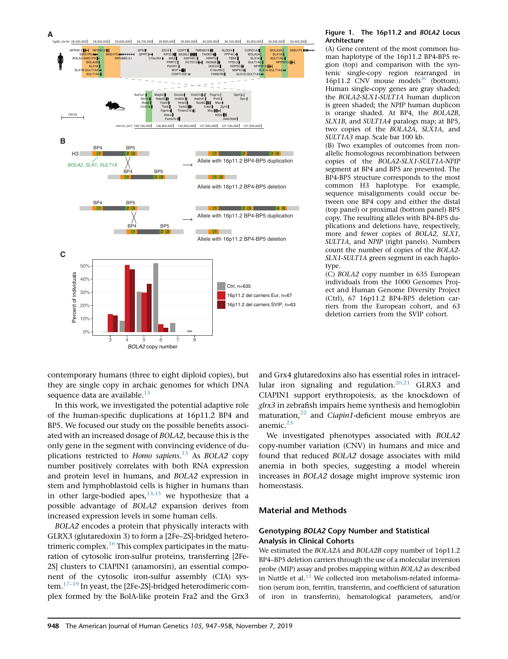<span id="page-1-0"></span>

#### Figure 1. The 16p11.2 and BOLA2 Locus Architecture

(A) Gene content of the most common human haplotype of the 16p11.2 BP4-BP5 region (top) and comparison with the syntenic single-copy region rearranged in 16p11.2 CNV mouse models $30$  (bottom). Human single-copy genes are gray shaded; the BOLA2-SLX1-SULT1A human duplicon is green shaded; the NPIP human duplicon is orange shaded. At BP4, the BOLA2B, SLX1B, and SULT1A4 paralogs map; at BP5, two copies of the BOLA2A, SLX1A, and SULT1A3 map. Scale bar 100 kb.

(B) Two examples of outcomes from nonallelic homologous recombination between copies of the BOLA2-SLX1-SULT1A-NPIP segment at BP4 and BP5 are presented. The BP4-BP5 structure corresponds to the most common H3 haplotype. For example, sequence misalignments could occur between one BP4 copy and either the distal (top panel) or proximal (bottom panel) BP5 copy. The resulting alleles with BP4-BP5 duplications and deletions have, respectively, more and fewer copies of BOLA2, SLX1, SULT1A, and NPIP (right panels). Numbers count the number of copies of the BOLA2- SLX1-SULT1A green segment in each haplotype.

(C) BOLA2 copy number in 635 European individuals from the 1000 Genomes Project and Human Genome Diversity Project (Ctrl), 67 16p11.2 BP4-BP5 deletion carriers from the European cohort, and 63 deletion carriers from the SVIP cohort.

contemporary humans (three to eight diploid copies), but they are single copy in archaic genomes for which DNA sequence data are available. $13$ 

In this work, we investigated the potential adaptive role of the human-specific duplications at 16p11.2 BP4 and BP5. We focused our study on the possible benefits associated with an increased dosage of BOLA2, because this is the only gene in the segment with convincing evidence of du-plications restricted to Homo sapiens.<sup>[13](#page-10-0)</sup> As BOLA2 copy number positively correlates with both RNA expression and protein level in humans, and BOLA2 expression in stem and lymphoblastoid cells is higher in humans than in other large-bodied apes, $13,15$  we hypothesize that a possible advantage of BOLA2 expansion derives from increased expression levels in some human cells.

BOLA2 encodes a protein that physically interacts with GLRX3 (glutaredoxin 3) to form a [2Fe–2S]-bridged hetero-trimeric complex.<sup>[16](#page-10-2)</sup> This complex participates in the maturation of cytosolic iron-sulfur proteins, transferring [2Fe-2S] clusters to CIAPIN1 (anamorsin), an essential component of the cytosolic iron-sulfur assembly (CIA) system. $17-19$  In yeast, the [2Fe-2S]-bridged heterodimeric complex formed by the BolA-like protein Fra2 and the Grx3

and Grx4 glutaredoxins also has essential roles in intracel-lular iron signaling and regulation.<sup>[20,21](#page-10-4)</sup> GLRX3 and CIAPIN1 support erythropoiesis, as the knockdown of glrx3 in zebrafish impairs heme synthesis and hemoglobin maturation, $^{22}$  and *Ciapin1*-deficient mouse embryos are anemic.<sup>23</sup>

We investigated phenotypes associated with BOLA2 copy-number variation (CNV) in humans and mice and found that reduced BOLA2 dosage associates with mild anemia in both species, suggesting a model wherein increases in BOLA2 dosage might improve systemic iron homeostasis.

## Material and Methods

## Genotyping BOLA2 Copy Number and Statistical Analysis in Clinical Cohorts

We estimated the BOLA2A and BOLA2B copy number of 16p11.2 BP4–BP5 deletion carriers through the use of a molecular inversion probe (MIP) assay and probes mapping within BOLA2 as described in Nuttle et al.<sup>[13](#page-10-0)</sup> We collected iron metabolism-related information (serum iron, ferritin, transferrin, and coefficient of saturation of iron in transferrin), hematological parameters, and/or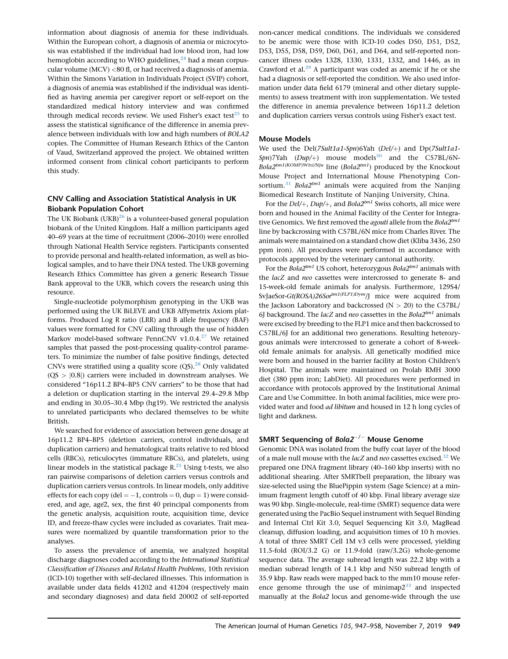information about diagnosis of anemia for these individuals. Within the European cohort, a diagnosis of anemia or microcytosis was established if the individual had low blood iron, had low hemoglobin according to WHO guidelines, $^{24}$  had a mean corpuscular volume (MCV) <80 fl, or had received a diagnosis of anemia. Within the Simons Variation in Individuals Project (SVIP) cohort, a diagnosis of anemia was established if the individual was identified as having anemia per caregiver report or self-report on the standardized medical history interview and was confirmed through medical records review. We used Fisher's exact test $25$  to assess the statistical significance of the difference in anemia prevalence between individuals with low and high numbers of BOLA2 copies. The Committee of Human Research Ethics of the Canton of Vaud, Switzerland approved the project. We obtained written informed consent from clinical cohort participants to perform this study.

#### CNV Calling and Association Statistical Analysis in UK Biobank Population Cohort

The UK Biobank  $(UKB)^{26}$  is a volunteer-based general population biobank of the United Kingdom. Half a million participants aged 40–69 years at the time of recruitment (2006–2010) were enrolled through National Health Service registers. Participants consented to provide personal and health-related information, as well as biological samples, and to have their DNA tested. The UKB governing Research Ethics Committee has given a generic Research Tissue Bank approval to the UKB, which covers the research using this resource.

Single-nucleotide polymorphism genotyping in the UKB was performed using the UK BiLEVE and UKB Affymetrix Axiom platforms. Produced Log R ratio (LRR) and B allele frequency (BAF) values were formatted for CNV calling through the use of hidden Markov model-based software PennCNV v1.0.4.<sup>[27](#page-10-11)</sup> We retained samples that passed the post-processing quality-control parameters. To minimize the number of false positive findings, detected CNVs were stratified using a quality score  $(QS)$ .<sup>28</sup> Only validated  $(QS > |0.8|)$  carriers were included in downstream analyses. We considered ''16p11.2 BP4–BP5 CNV carriers'' to be those that had a deletion or duplication starting in the interval 29.4–29.8 Mbp and ending in 30.05–30.4 Mbp (hg19). We restricted the analysis to unrelated participants who declared themselves to be white British.

We searched for evidence of association between gene dosage at 16p11.2 BP4–BP5 (deletion carriers, control individuals, and duplication carriers) and hematological traits relative to red blood cells (RBCs), reticulocytes (immature RBCs), and platelets, using linear models in the statistical package  $R<sup>25</sup>$  $R<sup>25</sup>$  $R<sup>25</sup>$  Using t-tests, we also ran pairwise comparisons of deletion carriers versus controls and duplication carriers versus controls. In linear models, only additive effects for each copy (del  $= -1$ , controls  $= 0$ , dup  $= 1$ ) were considered, and age, age^2, sex, the first 40 principal components from the genetic analysis, acquisition route, acquisition time, device ID, and freeze-thaw cycles were included as covariates. Trait measures were normalized by quantile transformation prior to the analyses.

To assess the prevalence of anemia, we analyzed hospital discharge diagnoses coded according to the International Statistical Classification of Diseases and Related Health Problems, 10th revision (ICD-10) together with self-declared illnesses. This information is available under data fields 41202 and 41204 (respectively main and secondary diagnoses) and data field 20002 of self-reported

non-cancer medical conditions. The individuals we considered to be anemic were those with ICD-10 codes D50, D51, D52, D53, D55, D58, D59, D60, D61, and D64, and self-reported noncancer illness codes 1328, 1330, 1331, 1332, and 1446, as in Crawford et al. $^{29}$  $^{29}$  $^{29}$  A participant was coded as anemic if he or she had a diagnosis or self-reported the condition. We also used information under data field 6179 (mineral and other dietary supplements) to assess treatment with iron supplementation. We tested the difference in anemia prevalence between 16p11.2 deletion and duplication carriers versus controls using Fisher's exact test.

#### Mouse Models

We used the Del(7Sult1a1-Spn)6Yah (Del/+) and Dp(7Sult1a1- $Spn$ )7Yah (Dup/+) mouse models<sup>[30](#page-10-7)</sup> and the C57BL/6N- $Bola2^{tm1(KOMP)Wtsi/Nju}$  line (Bola2<sup>tm1</sup>) produced by the Knockout Mouse Project and International Mouse Phenotyping Con-sortium.<sup>[31](#page-10-14)</sup> Bola2<sup>tm1</sup> animals were acquired from the Nanjing Biomedical Research Institute of Nanjing University, China.

For the  $Del/+, Dup/+,$  and  $Bola2^{tm1}$  Swiss cohorts, all mice were born and housed in the Animal Facility of the Center for Integrative Genomics. We first removed the *agouti* allele from the  $Bola2^{tm1}$ line by backcrossing with C57BL/6N mice from Charles River. The animals were maintained on a standard chow diet (Kliba 3436, 250 ppm iron). All procedures were performed in accordance with protocols approved by the veterinary cantonal authority.

For the Bola $2^{tm1}$  US cohort, heterozygous Bola $2^{tm1}$  animals with the lacZ and neo cassettes were intercrossed to generate 8- and 15-week-old female animals for analysis. Furthermore, 129S4/ SvJaeSor-Gt(ROSA)26Sor<sup>tm1(FLP1)Dym</sup>/J mice were acquired from the Jackson Laboratory and backcrossed  $(N > 20)$  to the C57BL/ 6J background. The lacZ and neo cassettes in the  $Bola2^{tm1}$  animals were excised by breeding to the FLP1 mice and then backcrossed to C57BL/6J for an additional two generations. Resulting heterozygous animals were intercrossed to generate a cohort of 8-weekold female animals for analysis. All genetically modified mice were born and housed in the barrier facility at Boston Children's Hospital. The animals were maintained on Prolab RMH 3000 diet (380 ppm iron; LabDiet). All procedures were performed in accordance with protocols approved by the Institutional Animal Care and Use Committee. In both animal facilities, mice were provided water and food ad libitum and housed in 12 h long cycles of light and darkness.

## SMRT Sequencing of Bola2<sup>-/-</sup> Mouse Genome

Genomic DNA was isolated from the buffy coat layer of the blood of a male null mouse with the lacZ and neo cassettes excised.<sup>32</sup> We prepared one DNA fragment library (40–160 kbp inserts) with no additional shearing. After SMRTbell preparation, the library was size-selected using the BluePippin system (Sage Science) at a minimum fragment length cutoff of 40 kbp. Final library average size was 90 kbp. Single-molecule, real-time (SMRT) sequence data were generated using the PacBio Sequel instrument with Sequel Binding and Internal Ctrl Kit 3.0, Sequel Sequencing Kit 3.0, MagBead cleanup, diffusion loading, and acquisition times of 10 h movies. A total of three SMRT Cell 1M v3 cells were processed, yielding 11.5-fold (ROI/3.2 G) or 11.9-fold (raw/3.2G) whole-genome sequence data. The average subread length was 22.2 kbp with a median subread length of 14.1 kbp and N50 subread length of 35.9 kbp. Raw reads were mapped back to the mm10 mouse reference genome through the use of minimap $2^{33}$  and inspected manually at the Bola2 locus and genome-wide through the use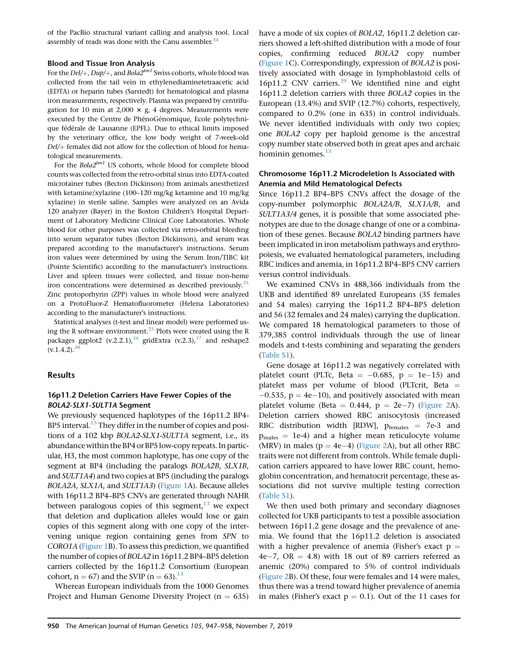of the PacBio structural variant calling and analysis tool. Local assembly of reads was done with the Canu assembler. $34$ 

#### Blood and Tissue Iron Analysis

For the  $Del/+$ ,  $Dup/+$ , and  $Bola2<sup>tm1</sup>$  Swiss cohorts, whole blood was collected from the tail vein in ethylenediaminetetraacetic acid (EDTA) or heparin tubes (Sarstedt) for hematological and plasma iron measurements, respectively. Plasma was prepared by centrifugation for 10 min at 2,000  $\times$  g, 4 degrees. Measurements were executed by the Centre de PhénoGénomique, Ecole polytechnique fédérale de Lausanne (EPFL). Due to ethical limits imposed by the veterinary office, the low body weight of 7-week-old Del/+ females did not allow for the collection of blood for hematological measurements.

For the  $Bola2^{tm1}$  US cohorts, whole blood for complete blood counts was collected from the retro-orbital sinus into EDTA-coated microtainer tubes (Becton Dickinson) from animals anesthetized with ketamine/xylazine (100–120 mg/kg ketamine and 10 mg/kg xylazine) in sterile saline. Samples were analyzed on an Avida 120 analyzer (Bayer) in the Boston Children's Hospital Department of Laboratory Medicine Clinical Core Laboratories. Whole blood for other purposes was collected via retro-orbital bleeding into serum separator tubes (Becton Dickinson), and serum was prepared according to the manufacturer's instructions. Serum iron values were determined by using the Serum Iron/TIBC kit (Pointe Scientific) according to the manufacturer's instructions. Liver and spleen tissues were collected, and tissue non-heme iron concentrations were determined as described previously.<sup>[35](#page-11-0)</sup> Zinc protoporhyrin (ZPP) values in whole blood were analyzed on a ProtoFluor-Z Hematofluorometer (Helena Laboratories) according to the manufacturer's instructions.

Statistical analyses (t-test and linear model) were performed us-ing the R software environment.<sup>[25](#page-10-9)</sup> Plots were created using the R packages ggplot2  $(v.2.2.1)$ ,<sup>[36](#page-11-1)</sup> gridExtra  $(v.2.3)$ ,<sup>[37](#page-11-2)</sup> and reshape2  $(v.1.4.2).$ <sup>38</sup>

## Results

## 16p11.2 Deletion Carriers Have Fewer Copies of the BOLA2-SLX1-SULT1A Segment

We previously sequenced haplotypes of the 16p11.2 BP4- BP5 interval.<sup>13</sup> They differ in the number of copies and positions of a 102 kbp BOLA2-SLX1-SULT1A segment, i.e., its abundance within the BP4 or BP5 low-copy repeats. In particular, H3, the most common haplotype, has one copy of the segment at BP4 (including the paralogs BOLA2B, SLX1B, and SULT1A4) and two copies at BP5 (including the paralogs BOLA2A, SLX1A, and SULT1A3) [\(Figure 1A](#page-1-0)). Because alleles with 16p11.2 BP4–BP5 CNVs are generated through NAHR between paralogous copies of this segment, $13$  we expect that deletion and duplication alleles would lose or gain copies of this segment along with one copy of the intervening unique region containing genes from SPN to CORO1A ([Figure 1](#page-1-0)B). To assess this prediction, we quantified the number of copies of BOLA2 in 16p11.2 BP4–BP5 deletion carriers collected by the 16p11.2 Consortium (European cohort,  $n = 67$ ) and the SVIP ( $n = 63$ ).<sup>13</sup>

Whereas European individuals from the 1000 Genomes Project and Human Genome Diversity Project ( $n = 635$ )

have a mode of six copies of BOLA2, 16p11.2 deletion carriers showed a left-shifted distribution with a mode of four copies, confirming reduced BOLA2 copy number ([Figure 1](#page-1-0)C). Correspondingly, expression of BOLA2 is positively associated with dosage in lymphoblastoid cells of 16p11.2 CNV carriers.<sup>[39](#page-11-4)</sup> We identified nine and eight 16p11.2 deletion carriers with three BOLA2 copies in the European (13.4%) and SVIP (12.7%) cohorts, respectively, compared to 0.2% (one in 635) in control individuals. We never identified individuals with only two copies; one BOLA2 copy per haploid genome is the ancestral copy number state observed both in great apes and archaic hominin genomes. $^{13}$  $^{13}$  $^{13}$ 

#### Chromosome 16p11.2 Microdeletion Is Associated with Anemia and Mild Hematological Defects

Since 16p11.2 BP4–BP5 CNVs affect the dosage of the copy-number polymorphic BOLA2A/B, SLX1A/B, and SULT1A3/4 genes, it is possible that some associated phenotypes are due to the dosage change of one or a combination of these genes. Because BOLA2 binding partners have been implicated in iron metabolism pathways and erythropoiesis, we evaluated hematological parameters, including RBC indices and anemia, in 16p11.2 BP4–BP5 CNV carriers versus control individuals.

We examined CNVs in 488,366 individuals from the UKB and identified 89 unrelated Europeans (35 females and 54 males) carrying the 16p11.2 BP4–BP5 deletion and 56 (32 females and 24 males) carrying the duplication. We compared 18 hematological parameters to those of 379,385 control individuals through the use of linear models and t-tests combining and separating the genders (Table S1).

Gene dosage at 16p11.2 was negatively correlated with platelet count (PLTc, Beta  $= -0.685, p = 1e-15$ ) and platelet mass per volume of blood (PLTcrit, Beta  $=$  $-0.535$ ,  $p = 4e-10$ ), and positively associated with mean platelet volume (Beta  $= 0.444$ ,  $p = 2e-7$ ) ([Figure 2A](#page-4-0)). Deletion carriers showed RBC anisocytosis (increased RBC distribution width [RDW],  $p_{\text{females}} = 7e-3$  and  $p_{\text{males}} = 1e-4$ ) and a higher mean reticulocyte volume (MRV) in males ( $p = 4e-4$ ) ([Figure 2A](#page-4-0)), but all other RBC traits were not different from controls. While female duplication carriers appeared to have lower RBC count, hemoglobin concentration, and hematocrit percentage, these associations did not survive multiple testing correction (Table S1).

We then used both primary and secondary diagnoses collected for UKB participants to test a possible association between 16p11.2 gene dosage and the prevalence of anemia. We found that the 16p11.2 deletion is associated with a higher prevalence of anemia (Fisher's exact  $p =$  $4e-7$ ,  $OR = 4.8$ ) with 18 out of 89 carriers referred as anemic (20%) compared to 5% of control individuals ([Figure 2](#page-4-0)B). Of these, four were females and 14 were males, thus there was a trend toward higher prevalence of anemia in males (Fisher's exact  $p = 0.1$ ). Out of the 11 cases for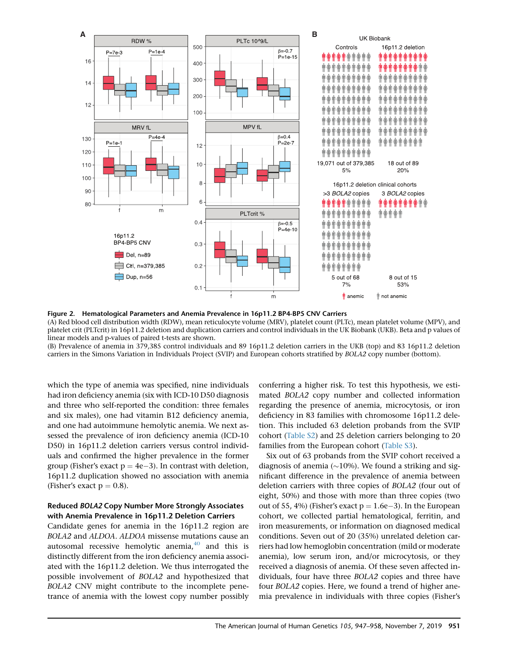<span id="page-4-0"></span>

Figure 2. Hematological Parameters and Anemia Prevalence in 16p11.2 BP4-BP5 CNV Carriers

(A) Red blood cell distribution width (RDW), mean reticulocyte volume (MRV), platelet count (PLTc), mean platelet volume (MPV), and platelet crit (PLTcrit) in 16p11.2 deletion and duplication carriers and control individuals in the UK Biobank (UKB). Beta and p values of linear models and p-values of paired t-tests are shown.

(B) Prevalence of anemia in 379,385 control individuals and 89 16p11.2 deletion carriers in the UKB (top) and 83 16p11.2 deletion carriers in the Simons Variation in Individuals Project (SVIP) and European cohorts stratified by BOLA2 copy number (bottom).

which the type of anemia was specified, nine individuals had iron deficiency anemia (six with ICD-10 D50 diagnosis and three who self-reported the condition: three females and six males), one had vitamin B12 deficiency anemia, and one had autoimmune hemolytic anemia. We next assessed the prevalence of iron deficiency anemia (ICD-10 D50) in 16p11.2 deletion carriers versus control individuals and confirmed the higher prevalence in the former group (Fisher's exact  $p = 4e-3$ ). In contrast with deletion, 16p11.2 duplication showed no association with anemia (Fisher's exact  $p = 0.8$ ).

#### Reduced BOLA2 Copy Number More Strongly Associates with Anemia Prevalence in 16p11.2 Deletion Carriers

Candidate genes for anemia in the 16p11.2 region are BOLA2 and ALDOA. ALDOA missense mutations cause an autosomal recessive hemolytic anemia, $40$  and this is distinctly different from the iron deficiency anemia associated with the 16p11.2 deletion. We thus interrogated the possible involvement of BOLA2 and hypothesized that BOLA2 CNV might contribute to the incomplete penetrance of anemia with the lowest copy number possibly

conferring a higher risk. To test this hypothesis, we estimated BOLA2 copy number and collected information regarding the presence of anemia, microcytosis, or iron deficiency in 83 families with chromosome 16p11.2 deletion. This included 63 deletion probands from the SVIP cohort (Table S2) and 25 deletion carriers belonging to 20 families from the European cohort (Table S3).

Six out of 63 probands from the SVIP cohort received a diagnosis of anemia ( $\sim$ 10%). We found a striking and significant difference in the prevalence of anemia between deletion carriers with three copies of BOLA2 (four out of eight, 50%) and those with more than three copies (two out of 55, 4%) (Fisher's exact  $p = 1.6e-3$ ). In the European cohort, we collected partial hematological, ferritin, and iron measurements, or information on diagnosed medical conditions. Seven out of 20 (35%) unrelated deletion carriers had low hemoglobin concentration (mild or moderate anemia), low serum iron, and/or microcytosis, or they received a diagnosis of anemia. Of these seven affected individuals, four have three BOLA2 copies and three have four BOLA2 copies. Here, we found a trend of higher anemia prevalence in individuals with three copies (Fisher's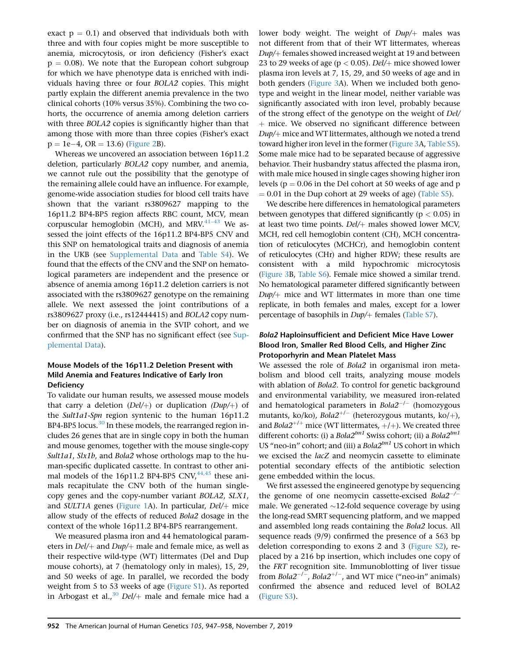exact  $p = 0.1$ ) and observed that individuals both with three and with four copies might be more susceptible to anemia, microcytosis, or iron deficiency (Fisher's exact  $p = 0.08$ ). We note that the European cohort subgroup for which we have phenotype data is enriched with individuals having three or four BOLA2 copies. This might partly explain the different anemia prevalence in the two clinical cohorts (10% versus 35%). Combining the two cohorts, the occurrence of anemia among deletion carriers with three BOLA2 copies is significantly higher than that among those with more than three copies (Fisher's exact  $p = 1e-4$ , OR = 13.6) ([Figure 2B](#page-4-0)).

Whereas we uncovered an association between 16p11.2 deletion, particularly BOLA2 copy number, and anemia, we cannot rule out the possibility that the genotype of the remaining allele could have an influence. For example, genome-wide association studies for blood cell traits have shown that the variant rs3809627 mapping to the 16p11.2 BP4-BP5 region affects RBC count, MCV, mean corpuscular hemoglobin (MCH), and MRV. $41-43$  We assessed the joint effects of the 16p11.2 BP4-BP5 CNV and this SNP on hematological traits and diagnosis of anemia in the UKB (see Supplemental Data and Table S4). We found that the effects of the CNV and the SNP on hematological parameters are independent and the presence or absence of anemia among 16p11.2 deletion carriers is not associated with the rs3809627 genotype on the remaining allele. We next assessed the joint contributions of a rs3809627 proxy (i.e., rs12444415) and BOLA2 copy number on diagnosis of anemia in the SVIP cohort, and we confirmed that the SNP has no significant effect (see Supplemental Data).

## Mouse Models of the 16p11.2 Deletion Present with Mild Anemia and Features Indicative of Early Iron **Deficiency**

To validate our human results, we assessed mouse models that carry a deletion  $(Del/+)$  or duplication  $(Dup/+)$  of the Sult1a1-Spn region syntenic to the human 16p11.2 BP4-BP5 locus.<sup>[30](#page-10-7)</sup> In these models, the rearranged region includes 26 genes that are in single copy in both the human and mouse genomes, together with the mouse single-copy Sult1a1, Slx1b, and Bola2 whose orthologs map to the human-specific duplicated cassette. In contrast to other animal models of the 16p11.2 BP4-BP5 CNV, $44,45$  these animals recapitulate the CNV both of the human singlecopy genes and the copy-number variant BOLA2, SLX1, and SULT1A genes [\(Figure 1](#page-1-0)A). In particular,  $Del/+$  mice allow study of the effects of reduced Bola2 dosage in the context of the whole 16p11.2 BP4-BP5 rearrangement.

We measured plasma iron and 44 hematological parameters in  $Del/$  and  $Dup/$  male and female mice, as well as their respective wild-type (WT) littermates (Del and Dup mouse cohorts), at 7 (hematology only in males), 15, 29, and 50 weeks of age. In parallel, we recorded the body weight from 5 to 53 weeks of age (Figure S1). As reported in Arbogast et al.,<sup>[30](#page-10-7)</sup> Del/ $+$  male and female mice had a lower body weight. The weight of  $Dup/+$  males was not different from that of their WT littermates, whereas  $Dup/+$  females showed increased weight at 19 and between 23 to 29 weeks of age ( $p < 0.05$ ). Del/+ mice showed lower plasma iron levels at 7, 15, 29, and 50 weeks of age and in both genders ([Figure 3](#page-6-0)A). When we included both genotype and weight in the linear model, neither variable was significantly associated with iron level, probably because of the strong effect of the genotype on the weight of Del/ + mice. We observed no significant difference between  $Dup/+$  mice and WT littermates, although we noted a trend toward higher iron level in the former [\(Figure 3](#page-6-0)A, Table S5). Some male mice had to be separated because of aggressive behavior. Their husbandry status affected the plasma iron, with male mice housed in single cages showing higher iron levels ( $p = 0.06$  in the Del cohort at 50 weeks of age and p  $= 0.01$  in the Dup cohort at 29 weeks of age) (Table S5).

We describe here differences in hematological parameters between genotypes that differed significantly ( $p < 0.05$ ) in at least two time points.  $Del/+$  males showed lower MCV, MCH, red cell hemoglobin content (CH), MCH concentration of reticulocytes (MCHCr), and hemoglobin content of reticulocytes (CHr) and higher RDW; these results are consistent with a mild hypochromic microcytosis [\(Figure 3](#page-6-0)B, Table S6). Female mice showed a similar trend. No hematological parameter differed significantly between  $Dup/+$  mice and WT littermates in more than one time replicate, in both females and males, except for a lower percentage of basophils in  $Dup/+$  females (Table S7).

## Bola2 Haploinsufficient and Deficient Mice Have Lower Blood Iron, Smaller Red Blood Cells, and Higher Zinc Protoporhyrin and Mean Platelet Mass

We assessed the role of Bola2 in organismal iron metabolism and blood cell traits, analyzing mouse models with ablation of Bola2. To control for genetic background and environmental variability, we measured iron-related and hematological parameters in  $Bola2^{-/-}$  (homozygous mutants, ko/ko),  $Bola2^{+/-}$  (heterozygous mutants, ko/+), and  $Bola2^{+/+}$  mice (WT littermates,  $+/+$ ). We created three different cohorts: (i) a Bola2<sup>tm1</sup> Swiss cohort; (ii) a Bola2<sup>tm1</sup> US "neo-in" cohort; and (iii) a  $Bola2^{tm1}$  US cohort in which we excised the lacZ and neomycin cassette to eliminate potential secondary effects of the antibiotic selection gene embedded within the locus.

We first assessed the engineered genotype by sequencing the genome of one neomycin cassette-excised  $Bola2^{-/-}$ male. We generated  $\sim$ 12-fold sequence coverage by using the long-read SMRT sequencing platform, and we mapped and assembled long reads containing the Bola2 locus. All sequence reads (9/9) confirmed the presence of a 563 bp deletion corresponding to exons 2 and 3 (Figure S2), replaced by a 216 bp insertion, which includes one copy of the FRT recognition site. Immunoblotting of liver tissue from Bola2<sup>-/-</sup>, Bola2<sup>+/-</sup>, and WT mice ("neo-in" animals) confirmed the absence and reduced level of BOLA2 (Figure S3).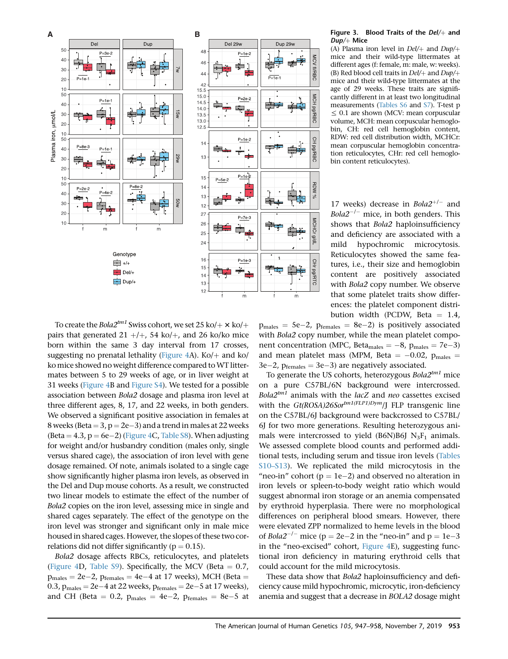



<span id="page-6-0"></span>**A B** Figure 3. Blood Traits of the Del/þ and  $Dup/+$  Mice

Dup 29w

 $P=1e$ 

**ACV fI/RBC** 

MCH pg/RBC

CH pg/RBC

**ACHOr** 

p/6

СНГ рд/RTC

(A) Plasma iron level in  $Del/+$  and  $Dup/+$ mice and their wild-type littermates at different ages (f: female, m: male, w: weeks). (B) Red blood cell traits in  $Del/+$  and  $Dup/+$ mice and their wild-type littermates at the age of 29 weeks. These traits are significantly different in at least two longitudinal measurements (Tables S6 and S7). T-test p  $\leq$  0.1 are shown (MCV: mean corpuscular volume, MCH: mean corpuscular hemoglobin, CH: red cell hemoglobin content, RDW: red cell distribution width, MCHCr: mean corpuscular hemoglobin concentration reticulocytes, CHr: red cell hemoglobin content reticulocytes).

17 weeks) decrease in  $Bola2^{+/-}$  and *Bola2<sup>-/-</sup>* mice, in both genders. This shows that Bola2 haploinsufficiency and deficiency are associated with a mild hypochromic microcytosis. Reticulocytes showed the same features, i.e., their size and hemoglobin content are positively associated with Bola2 copy number. We observe that some platelet traits show differences: the platelet component distribution width (PCDW, Beta  $= 1.4$ ,

To create the *Bola* $2^{tm1}$  Swiss cohort, we set  $25$  ko/ $+ \times$  ko/ $+$ pairs that generated 21 +/+, 54 ko/+, and 26 ko/ko mice born within the same 3 day interval from 17 crosses, suggesting no prenatal lethality ([Figure 4A](#page-7-0)). Ko/ $+$  and ko/ ko mice showed no weight difference compared to WT littermates between 5 to 29 weeks of age, or in liver weight at 31 weeks [\(Figure 4B](#page-7-0) and Figure S4). We tested for a possible association between Bola2 dosage and plasma iron level at three different ages, 8, 17, and 22 weeks, in both genders. We observed a significant positive association in females at  $8$  weeks (Beta  $= 3$ ,  $p = 2e-3$ ) and a trend in males at 22 weeks (Beta  $= 4.3$ ,  $p = 6e-2$ ) [\(Figure 4](#page-7-0)C, Table S8). When adjusting for weight and/or husbandry condition (males only, single versus shared cage), the association of iron level with gene dosage remained. Of note, animals isolated to a single cage show significantly higher plasma iron levels, as observed in the Del and Dup mouse cohorts. As a result, we constructed two linear models to estimate the effect of the number of Bola2 copies on the iron level, assessing mice in single and shared cages separately. The effect of the genotype on the iron level was stronger and significant only in male mice housed in shared cages. However, the slopes of these two correlations did not differ significantly ( $p = 0.15$ ).

Bola2 dosage affects RBCs, reticulocytes, and platelets ([Figure 4D](#page-7-0), Table S9). Specifically, the MCV (Beta  $= 0.7$ ,  $p_{\text{males}} = 2e-2$ ,  $p_{\text{females}} = 4e-4$  at 17 weeks), MCH (Beta =  $0.3$ ,  $p_{\text{males}} = 2e-4$  at 22 weeks,  $p_{\text{females}} = 2e-5$  at 17 weeks), and CH (Beta = 0.2,  $p_{\text{males}} = 4e-2$ ,  $p_{\text{females}} = 8e-5$  at

 $p_{\text{males}} = 5e-2$ ,  $p_{\text{females}} = 8e-2$ ) is positively associated with Bola2 copy number, while the mean platelet component concentration (MPC, Beta<sub>males</sub>  $= -8$ ,  $p_{\text{males}} = 7e-3$ ) and mean platelet mass (MPM, Beta  $= -0.02$ ,  $p_{\text{males}} =$  $3e-2$ ,  $p_{\text{females}} = 3e-3$ ) are negatively associated.

To generate the US cohorts, heterozygous  $Bola2^{tm1}$  mice on a pure C57BL/6N background were intercrossed.  $Bola2^{tm1}$  animals with the lacZ and neo cassettes excised with the  $Gt(ROSA)26S\sigma^{tm1(FLP1)Dym}/J$  FLP transgenic line on the C57BL/6J background were backcrossed to C57BL/ 6J for two more generations. Resulting heterozygous animals were intercrossed to yield (B6N)B6J  $N_3F_1$  animals. We assessed complete blood counts and performed additional tests, including serum and tissue iron levels (Tables S10–S13). We replicated the mild microcytosis in the "neo-in" cohort ( $p = 1e-2$ ) and observed no alteration in iron levels or spleen-to-body weight ratio which would suggest abnormal iron storage or an anemia compensated by erythroid hyperplasia. There were no morphological differences on peripheral blood smears. However, there were elevated ZPP normalized to heme levels in the blood of  $Bola2^{-/-}$  mice ( $p = 2e-2$  in the "neo-in" and  $p = 1e-3$ in the ''neo-excised'' cohort, [Figure 4](#page-7-0)E), suggesting functional iron deficiency in maturing erythroid cells that could account for the mild microcytosis.

These data show that Bola2 haploinsufficiency and deficiency cause mild hypochromic, microcytic, iron-deficiency anemia and suggest that a decrease in BOLA2 dosage might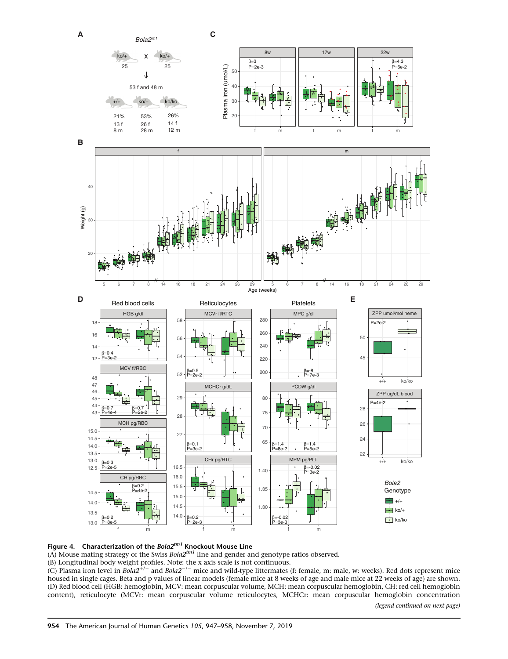<span id="page-7-0"></span>



(A) Mouse mating strategy of the Swiss  $Bola2^{tm1}$  line and gender and genotype ratios observed.

(B) Longitudinal body weight profiles. Note: the x axis scale is not continuous.<br>(C) Plasma iron level in *Bola2<sup>+/–</sup>* and *Bola2<sup>–/–</sup> m*ice and wild-type littermates (f: female, m: male, w: weeks). Red dots represent mice housed in single cages. Beta and p values of linear models (female mice at 8 weeks of age and male mice at 22 weeks of age) are shown. (D) Red blood cell (HGB: hemoglobin, MCV: mean corpuscular volume, MCH: mean corpuscular hemoglobin, CH: red cell hemoglobin content), reticulocyte (MCVr: mean corpuscular volume reticulocytes, MCHCr: mean corpuscular hemoglobin concentration

(legend continued on next page)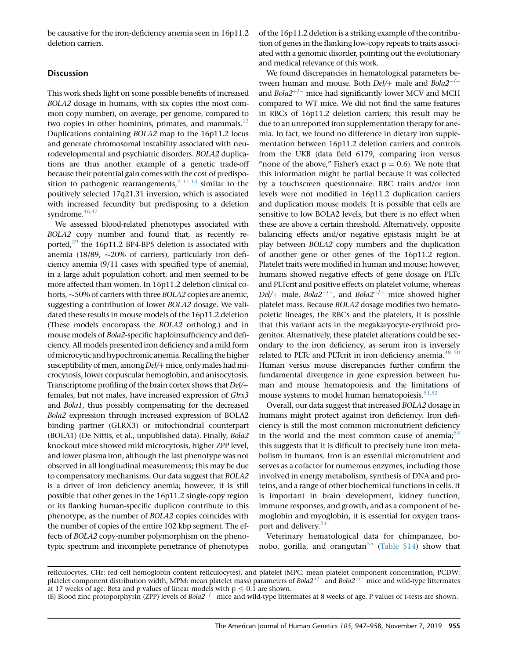be causative for the iron-deficiency anemia seen in 16p11.2 deletion carriers.

#### **Discussion**

This work sheds light on some possible benefits of increased BOLA2 dosage in humans, with six copies (the most common copy number), on average, per genome, compared to two copies in other hominins, primates, and mammals. $^{13}$  $^{13}$  $^{13}$ Duplications containing BOLA2 map to the 16p11.2 locus and generate chromosomal instability associated with neurodevelopmental and psychiatric disorders. BOLA2 duplications are thus another example of a genetic trade-off because their potential gain comes with the cost of predisposition to pathogenic rearrangements, $2-11,13$  similar to the positively selected 17q21.31 inversion, which is associated with increased fecundity but predisposing to a deletion syndrome.<sup>46,47</sup>

We assessed blood-related phenotypes associated with BOLA2 copy number and found that, as recently reported, $^{29}$  the 16p11.2 BP4-BP5 deletion is associated with anemia (18/89,  $\sim$ 20% of carriers), particularly iron deficiency anemia (9/11 cases with specified type of anemia), in a large adult population cohort, and men seemed to be more affected than women. In 16p11.2 deletion clinical cohorts,  $\sim$  50% of carriers with three BOLA2 copies are anemic, suggesting a contribution of lower BOLA2 dosage. We validated these results in mouse models of the 16p11.2 deletion (These models encompass the BOLA2 ortholog.) and in mouse models of Bola2-specific haploinsufficiency and deficiency. All models presented iron deficiency and a mild form ofmicrocytic and hypochromic anemia. Recalling the higher susceptibility of men, among  $Del/$  mice, only males had microcytosis, lower corpuscular hemoglobin, and anisocytosis. Transcriptome profiling of the brain cortex shows that  $Del/+$ females, but not males, have increased expression of Glrx3 and Bola1, thus possibly compensating for the decreased Bola2 expression through increased expression of BOLA2 binding partner (GLRX3) or mitochondrial counterpart (BOLA1) (De Nittis, et al., unpublished data). Finally, Bola2 knockout mice showed mild microcytosis, higher ZPP level, and lower plasma iron, although the last phenotype was not observed in all longitudinal measurements; this may be due to compensatory mechanisms. Our data suggest that BOLA2 is a driver of iron deficiency anemia; however, it is still possible that other genes in the 16p11.2 single-copy region or its flanking human-specific duplicon contribute to this phenotype, as the number of BOLA2 copies coincides with the number of copies of the entire 102 kbp segment. The effects of BOLA2 copy-number polymorphism on the phenotypic spectrum and incomplete penetrance of phenotypes of the 16p11.2 deletion is a striking example of the contribution of genes in the flanking low-copy repeats to traits associated with a genomic disorder, pointing out the evolutionary and medical relevance of this work.

We found discrepancies in hematological parameters between human and mouse. Both  $Del/$ + male and  $Bola2^{-/-}$ and  $Bola2^{+/-}$  mice had significantly lower MCV and MCH compared to WT mice. We did not find the same features in RBCs of 16p11.2 deletion carriers; this result may be due to an unreported iron supplementation therapy for anemia. In fact, we found no difference in dietary iron supplementation between 16p11.2 deletion carriers and controls from the UKB (data field 6179, comparing iron versus "none of the above," Fisher's exact  $p = 0.6$ ). We note that this information might be partial because it was collected by a touchscreen questionnaire. RBC traits and/or iron levels were not modified in 16p11.2 duplication carriers and duplication mouse models. It is possible that cells are sensitive to low BOLA2 levels, but there is no effect when these are above a certain threshold. Alternatively, opposite balancing effects and/or negative epistasis might be at play between BOLA2 copy numbers and the duplication of another gene or other genes of the 16p11.2 region. Platelet traits were modified in human and mouse; however, humans showed negative effects of gene dosage on PLTc and PLTcrit and positive effects on platelet volume, whereas  $Del/+$  male,  $Bola2^{-/-}$ , and  $Bola2^{+/-}$  mice showed higher platelet mass. Because BOLA2 dosage modifies two hematopoietic lineages, the RBCs and the platelets, it is possible that this variant acts in the megakaryocyte-erythroid progenitor. Alternatively, these platelet alterations could be secondary to the iron deficiency, as serum iron is inversely related to PLTc and PLTcrit in iron deficiency anemia.<sup>48-50</sup> Human versus mouse discrepancies further confirm the fundamental divergence in gene expression between human and mouse hematopoiesis and the limitations of mouse systems to model human hematopoiesis. $51,52$ 

Overall, our data suggest that increased BOLA2 dosage in humans might protect against iron deficiency. Iron deficiency is still the most common micronutrient deficiency in the world and the most common cause of anemia; $53$ this suggests that it is difficult to precisely tune iron metabolism in humans. Iron is an essential micronutrient and serves as a cofactor for numerous enzymes, including those involved in energy metabolism, synthesis of DNA and proteins, and a range of other biochemical functions in cells. It is important in brain development, kidney function, immune responses, and growth, and as a component of hemoglobin and myoglobin, it is essential for oxygen transport and delivery.<sup>5</sup>

Veterinary hematological data for chimpanzee, bo-nobo, gorilla, and orangutan<sup>[55](#page-11-13)</sup> (Table S14) show that

reticulocytes, CHr: red cell hemoglobin content reticulocytes), and platelet (MPC: mean platelet component concentration, PCDW: platelet component distribution width, MPM: mean platelet mass) parameters of  $Bola2^{+/-}$  and  $Bola2^{-/-}$  mice and wild-type littermates at 17 weeks of age. Beta and p values of linear models with  $p \le 0.1$  are shown.

<sup>(</sup>E) Blood zinc protoporphyrin (ZPP) levels of  $Bola2^{-/-}$  mice and wild-type littermates at 8 weeks of age. P values of t-tests are shown.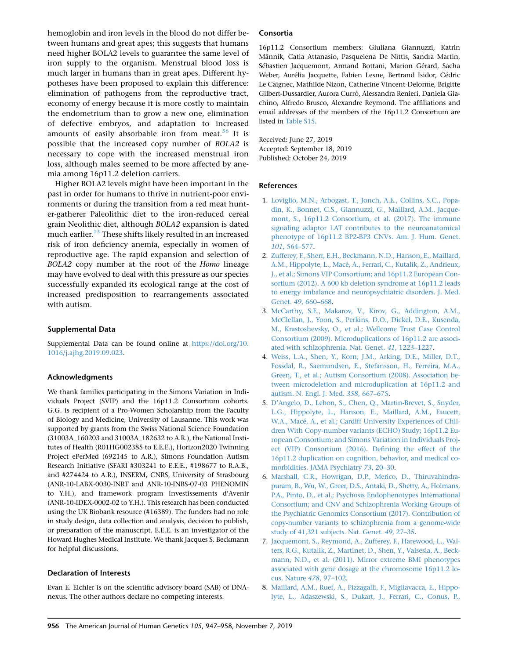hemoglobin and iron levels in the blood do not differ between humans and great apes; this suggests that humans need higher BOLA2 levels to guarantee the same level of iron supply to the organism. Menstrual blood loss is much larger in humans than in great apes. Different hypotheses have been proposed to explain this difference: elimination of pathogens from the reproductive tract, economy of energy because it is more costly to maintain the endometrium than to grow a new one, elimination of defective embryos, and adaptation to increased amounts of easily absorbable iron from meat.<sup>[56](#page-11-14)</sup> It is possible that the increased copy number of BOLA2 is necessary to cope with the increased menstrual iron loss, although males seemed to be more affected by anemia among 16p11.2 deletion carriers.

Higher BOLA2 levels might have been important in the past in order for humans to thrive in nutrient-poor environments or during the transition from a red meat hunter-gatherer Paleolithic diet to the iron-reduced cereal grain Neolithic diet, although BOLA2 expansion is dated much earlier. $^{13}$  $^{13}$  $^{13}$  These shifts likely resulted in an increased risk of iron deficiency anemia, especially in women of reproductive age. The rapid expansion and selection of BOLA2 copy number at the root of the Homo lineage may have evolved to deal with this pressure as our species successfully expanded its ecological range at the cost of increased predisposition to rearrangements associated with autism.

#### Supplemental Data

Supplemental Data can be found online at [https://doi.org/10.](https://doi.org/10.1016/j.ajhg.2019.09.023) [1016/j.ajhg.2019.09.023.](https://doi.org/10.1016/j.ajhg.2019.09.023)

#### Acknowledgments

We thank families participating in the Simons Variation in Individuals Project (SVIP) and the 16p11.2 Consortium cohorts. G.G. is recipient of a Pro-Women Scholarship from the Faculty of Biology and Medicine, University of Lausanne. This work was supported by grants from the Swiss National Science Foundation (31003A\_160203 and 31003A\_182632 to A.R.), the National Institutes of Health (R01HG002385 to E.E.E.), Horizon2020 Twinning Project ePerMed (692145 to A.R.), Simons Foundation Autism Research Initiative (SFARI #303241 to E.E.E., #198677 to R.A.B., and #274424 to A.R.), INSERM, CNRS, University of Strasbourg (ANR-10-LABX-0030-INRT and ANR-10-INBS-07-03 PHENOMIN to Y.H.), and framework program Investissements d'Avenir (ANR-10-IDEX-0002-02 to Y.H.). This research has been conducted using the UK Biobank resource (#16389). The funders had no role in study design, data collection and analysis, decision to publish, or preparation of the manuscript. E.E.E. is an investigator of the Howard Hughes Medical Institute. We thank Jacques S. Beckmann for helpful discussions.

#### Declaration of Interests

Evan E. Eichler is on the scientific advisory board (SAB) of DNAnexus. The other authors declare no competing interests.

#### Consortia

16p11.2 Consortium members: Giuliana Giannuzzi, Katrin Männik, Catia Attanasio, Pasquelena De Nittis, Sandra Martin, Sébastien Jacquemont, Armand Bottani, Marion Gérard, Sacha Weber, Aurélia Jacquette, Fabien Lesne, Bertrand Isidor, Cédric Le Caignec, Mathilde Nizon, Catherine Vincent-Delorme, Brigitte Gilbert-Dussardier, Aurora Currò, Alessandra Renieri, Daniela Giachino, Alfredo Brusco, Alexandre Reymond. The affiliations and email addresses of the members of the 16p11.2 Consortium are listed in Table S15.

Received: June 27, 2019 Accepted: September 18, 2019 Published: October 24, 2019

#### **References**

- <span id="page-9-0"></span>1. [Loviglio, M.N., Arbogast, T., Jonch, A.E., Collins, S.C., Popa](http://refhub.elsevier.com/S0002-9297(19)30363-5/sref1)[din, K., Bonnet, C.S., Giannuzzi, G., Maillard, A.M., Jacque](http://refhub.elsevier.com/S0002-9297(19)30363-5/sref1)[mont, S., 16p11.2 Consortium, et al. \(2017\). The immune](http://refhub.elsevier.com/S0002-9297(19)30363-5/sref1) [signaling adaptor LAT contributes to the neuroanatomical](http://refhub.elsevier.com/S0002-9297(19)30363-5/sref1) [phenotype of 16p11.2 BP2-BP3 CNVs. Am. J. Hum. Genet.](http://refhub.elsevier.com/S0002-9297(19)30363-5/sref1) 101[, 564–577.](http://refhub.elsevier.com/S0002-9297(19)30363-5/sref1)
- <span id="page-9-1"></span>2. [Zufferey, F., Sherr, E.H., Beckmann, N.D., Hanson, E., Maillard,](http://refhub.elsevier.com/S0002-9297(19)30363-5/sref2) A.M., Hippolyte, L., Macé, A., Ferrari, C., Kutalik, Z., Andrieux, [J., et al.; Simons VIP Consortium; and 16p11.2 European Con](http://refhub.elsevier.com/S0002-9297(19)30363-5/sref2)[sortium \(2012\). A 600 kb deletion syndrome at 16p11.2 leads](http://refhub.elsevier.com/S0002-9297(19)30363-5/sref2) [to energy imbalance and neuropsychiatric disorders. J. Med.](http://refhub.elsevier.com/S0002-9297(19)30363-5/sref2) Genet. 49[, 660–668](http://refhub.elsevier.com/S0002-9297(19)30363-5/sref2).
- 3. [McCarthy, S.E., Makarov, V., Kirov, G., Addington, A.M.,](http://refhub.elsevier.com/S0002-9297(19)30363-5/sref3) [McClellan, J., Yoon, S., Perkins, D.O., Dickel, D.E., Kusenda,](http://refhub.elsevier.com/S0002-9297(19)30363-5/sref3) [M., Krastoshevsky, O., et al.; Wellcome Trust Case Control](http://refhub.elsevier.com/S0002-9297(19)30363-5/sref3) [Consortium \(2009\). Microduplications of 16p11.2 are associ](http://refhub.elsevier.com/S0002-9297(19)30363-5/sref3)[ated with schizophrenia. Nat. Genet.](http://refhub.elsevier.com/S0002-9297(19)30363-5/sref3) 41, 1223–1227.
- 4. [Weiss, L.A., Shen, Y., Korn, J.M., Arking, D.E., Miller, D.T.,](http://refhub.elsevier.com/S0002-9297(19)30363-5/sref4) [Fossdal, R., Saemundsen, E., Stefansson, H., Ferreira, M.A.,](http://refhub.elsevier.com/S0002-9297(19)30363-5/sref4) [Green, T., et al.; Autism Consortium \(2008\). Association be](http://refhub.elsevier.com/S0002-9297(19)30363-5/sref4)[tween microdeletion and microduplication at 16p11.2 and](http://refhub.elsevier.com/S0002-9297(19)30363-5/sref4) [autism. N. Engl. J. Med.](http://refhub.elsevier.com/S0002-9297(19)30363-5/sref4) 358, 667–675.
- <span id="page-9-2"></span>5. [D'Angelo, D., Lebon, S., Chen, Q., Martin-Brevet, S., Snyder,](http://refhub.elsevier.com/S0002-9297(19)30363-5/sref5) [L.G., Hippolyte, L., Hanson, E., Maillard, A.M., Faucett,](http://refhub.elsevier.com/S0002-9297(19)30363-5/sref5) W.A., Macé, A., et al.; Cardiff University Experiences of Chil[dren With Copy-number variants \(ECHO\) Study; 16p11.2 Eu](http://refhub.elsevier.com/S0002-9297(19)30363-5/sref5)[ropean Consortium; and Simons Variation in Individuals Proj](http://refhub.elsevier.com/S0002-9297(19)30363-5/sref5)[ect \(VIP\) Consortium \(2016\). Defining the effect of the](http://refhub.elsevier.com/S0002-9297(19)30363-5/sref5) [16p11.2 duplication on cognition, behavior, and medical co](http://refhub.elsevier.com/S0002-9297(19)30363-5/sref5)[morbidities. JAMA Psychiatry](http://refhub.elsevier.com/S0002-9297(19)30363-5/sref5) 73, 20–30.
- 6. [Marshall, C.R., Howrigan, D.P., Merico, D., Thiruvahindra](http://refhub.elsevier.com/S0002-9297(19)30363-5/sref6)[puram, B., Wu, W., Greer, D.S., Antaki, D., Shetty, A., Holmans,](http://refhub.elsevier.com/S0002-9297(19)30363-5/sref6) [P.A., Pinto, D., et al.; Psychosis Endophenotypes International](http://refhub.elsevier.com/S0002-9297(19)30363-5/sref6) [Consortium; and CNV and Schizophrenia Working Groups of](http://refhub.elsevier.com/S0002-9297(19)30363-5/sref6) [the Psychiatric Genomics Consortium \(2017\). Contribution of](http://refhub.elsevier.com/S0002-9297(19)30363-5/sref6) [copy-number variants to schizophrenia from a genome-wide](http://refhub.elsevier.com/S0002-9297(19)30363-5/sref6) [study of 41,321 subjects. Nat. Genet.](http://refhub.elsevier.com/S0002-9297(19)30363-5/sref6) 49, 27–35.
- 7. [Jacquemont, S., Reymond, A., Zufferey, F., Harewood, L., Wal](http://refhub.elsevier.com/S0002-9297(19)30363-5/sref7)[ters, R.G., Kutalik, Z., Martinet, D., Shen, Y., Valsesia, A., Beck](http://refhub.elsevier.com/S0002-9297(19)30363-5/sref7)[mann, N.D., et al. \(2011\). Mirror extreme BMI phenotypes](http://refhub.elsevier.com/S0002-9297(19)30363-5/sref7) [associated with gene dosage at the chromosome 16p11.2 lo](http://refhub.elsevier.com/S0002-9297(19)30363-5/sref7)[cus. Nature](http://refhub.elsevier.com/S0002-9297(19)30363-5/sref7) 478, 97–102.
- 8. [Maillard, A.M., Ruef, A., Pizzagalli, F., Migliavacca, E., Hippo](http://refhub.elsevier.com/S0002-9297(19)30363-5/sref8)[lyte, L., Adaszewski, S., Dukart, J., Ferrari, C., Conus, P.,](http://refhub.elsevier.com/S0002-9297(19)30363-5/sref8)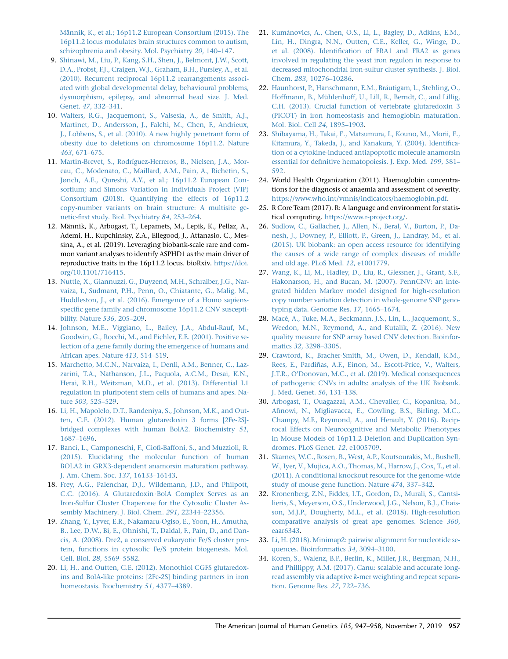Männik, K., et al.; 16p11.2 European Consortium (2015). The [16p11.2 locus modulates brain structures common to autism,](http://refhub.elsevier.com/S0002-9297(19)30363-5/sref8) [schizophrenia and obesity. Mol. Psychiatry](http://refhub.elsevier.com/S0002-9297(19)30363-5/sref8) 20, 140–147.

- 9. [Shinawi, M., Liu, P., Kang, S.H., Shen, J., Belmont, J.W., Scott,](http://refhub.elsevier.com/S0002-9297(19)30363-5/sref9) [D.A., Probst, F.J., Craigen, W.J., Graham, B.H., Pursley, A., et al.](http://refhub.elsevier.com/S0002-9297(19)30363-5/sref9) [\(2010\). Recurrent reciprocal 16p11.2 rearrangements associ](http://refhub.elsevier.com/S0002-9297(19)30363-5/sref9)[ated with global developmental delay, behavioural problems,](http://refhub.elsevier.com/S0002-9297(19)30363-5/sref9) [dysmorphism, epilepsy, and abnormal head size. J. Med.](http://refhub.elsevier.com/S0002-9297(19)30363-5/sref9) Genet. 47[, 332–341.](http://refhub.elsevier.com/S0002-9297(19)30363-5/sref9)
- 10. [Walters, R.G., Jacquemont, S., Valsesia, A., de Smith, A.J.,](http://refhub.elsevier.com/S0002-9297(19)30363-5/sref10) [Martinet, D., Andersson, J., Falchi, M., Chen, F., Andrieux,](http://refhub.elsevier.com/S0002-9297(19)30363-5/sref10) [J., Lobbens, S., et al. \(2010\). A new highly penetrant form of](http://refhub.elsevier.com/S0002-9297(19)30363-5/sref10) [obesity due to deletions on chromosome 16p11.2. Nature](http://refhub.elsevier.com/S0002-9297(19)30363-5/sref10) 463[, 671–675](http://refhub.elsevier.com/S0002-9297(19)30363-5/sref10).
- 11. Martin-Brevet, S., Rodríguez-Herreros, B., Nielsen, J.A., Mor[eau, C., Modenato, C., Maillard, A.M., Pain, A., Richetin, S.,](http://refhub.elsevier.com/S0002-9297(19)30363-5/sref11) [Jønch, A.E., Qureshi, A.Y., et al.; 16p11.2 European Con](http://refhub.elsevier.com/S0002-9297(19)30363-5/sref11)[sortium; and Simons Variation in Individuals Project \(VIP\)](http://refhub.elsevier.com/S0002-9297(19)30363-5/sref11) [Consortium \(2018\). Quantifying the effects of 16p11.2](http://refhub.elsevier.com/S0002-9297(19)30363-5/sref11) [copy-number variants on brain structure: A multisite ge](http://refhub.elsevier.com/S0002-9297(19)30363-5/sref11)[netic-first study. Biol. Psychiatry](http://refhub.elsevier.com/S0002-9297(19)30363-5/sref11) 84, 253–264.
- 12. Männik, K., Arbogast, T., Lepamets, M., Lepik, K., Pellaz, A., Ademi, H., Kupchinsky, Z.A., Ellegood, J., Attanasio, C., Messina, A., et al. (2019). Leveraging biobank-scale rare and common variant analyses to identify ASPHD1 as the main driver of reproductive traits in the 16p11.2 locus. bioRxiv. [https://doi.](https://doi.org/10.1101/716415) [org/10.1101/716415.](https://doi.org/10.1101/716415)
- <span id="page-10-0"></span>13. [Nuttle, X., Giannuzzi, G., Duyzend, M.H., Schraiber, J.G., Nar](http://refhub.elsevier.com/S0002-9297(19)30363-5/sref13)[vaiza, I., Sudmant, P.H., Penn, O., Chiatante, G., Malig, M.,](http://refhub.elsevier.com/S0002-9297(19)30363-5/sref13) [Huddleston, J., et al. \(2016\). Emergence of a Homo sapiens](http://refhub.elsevier.com/S0002-9297(19)30363-5/sref13)[specific gene family and chromosome 16p11.2 CNV suscepti](http://refhub.elsevier.com/S0002-9297(19)30363-5/sref13)[bility. Nature](http://refhub.elsevier.com/S0002-9297(19)30363-5/sref13) 536, 205–209.
- <span id="page-10-1"></span>14. [Johnson, M.E., Viggiano, L., Bailey, J.A., Abdul-Rauf, M.,](http://refhub.elsevier.com/S0002-9297(19)30363-5/sref14) [Goodwin, G., Rocchi, M., and Eichler, E.E. \(2001\). Positive se](http://refhub.elsevier.com/S0002-9297(19)30363-5/sref14)[lection of a gene family during the emergence of humans and](http://refhub.elsevier.com/S0002-9297(19)30363-5/sref14) [African apes. Nature](http://refhub.elsevier.com/S0002-9297(19)30363-5/sref14) 413, 514–519.
- 15. [Marchetto, M.C.N., Narvaiza, I., Denli, A.M., Benner, C., Laz](http://refhub.elsevier.com/S0002-9297(19)30363-5/sref15)[zarini, T.A., Nathanson, J.L., Paquola, A.C.M., Desai, K.N.,](http://refhub.elsevier.com/S0002-9297(19)30363-5/sref15) [Herai, R.H., Weitzman, M.D., et al. \(2013\). Differential L1](http://refhub.elsevier.com/S0002-9297(19)30363-5/sref15) [regulation in pluripotent stem cells of humans and apes. Na](http://refhub.elsevier.com/S0002-9297(19)30363-5/sref15)ture 503[, 525–529](http://refhub.elsevier.com/S0002-9297(19)30363-5/sref15).
- <span id="page-10-2"></span>16. [Li, H., Mapolelo, D.T., Randeniya, S., Johnson, M.K., and Out](http://refhub.elsevier.com/S0002-9297(19)30363-5/sref16)[ten, C.E. \(2012\). Human glutaredoxin 3 forms \[2Fe-2S\]](http://refhub.elsevier.com/S0002-9297(19)30363-5/sref16) [bridged complexes with human BolA2. Biochemistry](http://refhub.elsevier.com/S0002-9297(19)30363-5/sref16) 51, [1687–1696](http://refhub.elsevier.com/S0002-9297(19)30363-5/sref16).
- <span id="page-10-3"></span>17. [Banci, L., Camponeschi, F., Ciofi-Baffoni, S., and Muzzioli, R.](http://refhub.elsevier.com/S0002-9297(19)30363-5/sref17) [\(2015\). Elucidating the molecular function of human](http://refhub.elsevier.com/S0002-9297(19)30363-5/sref17) [BOLA2 in GRX3-dependent anamorsin maturation pathway.](http://refhub.elsevier.com/S0002-9297(19)30363-5/sref17) [J. Am. Chem. Soc.](http://refhub.elsevier.com/S0002-9297(19)30363-5/sref17) 137, 16133–16143.
- 18. [Frey, A.G., Palenchar, D.J., Wildemann, J.D., and Philpott,](http://refhub.elsevier.com/S0002-9297(19)30363-5/sref18) [C.C. \(2016\). A Glutaredoxin](http://refhub.elsevier.com/S0002-9297(19)30363-5/sref18) [BolA Complex Serves as an](http://refhub.elsevier.com/S0002-9297(19)30363-5/sref18) [Iron-Sulfur Cluster Chaperone for the Cytosolic Cluster As](http://refhub.elsevier.com/S0002-9297(19)30363-5/sref18)[sembly Machinery. J. Biol. Chem.](http://refhub.elsevier.com/S0002-9297(19)30363-5/sref18) 291, 22344–22356.
- 19. [Zhang, Y., Lyver, E.R., Nakamaru-Ogiso, E., Yoon, H., Amutha,](http://refhub.elsevier.com/S0002-9297(19)30363-5/sref19) [B., Lee, D.W., Bi, E., Ohnishi, T., Daldal, F., Pain, D., and Dan](http://refhub.elsevier.com/S0002-9297(19)30363-5/sref19)[cis, A. \(2008\). Dre2, a conserved eukaryotic Fe/S cluster pro](http://refhub.elsevier.com/S0002-9297(19)30363-5/sref19)[tein, functions in cytosolic Fe/S protein biogenesis. Mol.](http://refhub.elsevier.com/S0002-9297(19)30363-5/sref19) Cell. Biol. 28[, 5569–5582](http://refhub.elsevier.com/S0002-9297(19)30363-5/sref19).
- <span id="page-10-4"></span>20. [Li, H., and Outten, C.E. \(2012\). Monothiol CGFS glutaredox](http://refhub.elsevier.com/S0002-9297(19)30363-5/sref20)[ins and BolA-like proteins: \[2Fe-2S\] binding partners in iron](http://refhub.elsevier.com/S0002-9297(19)30363-5/sref20) [homeostasis. Biochemistry](http://refhub.elsevier.com/S0002-9297(19)30363-5/sref20) 51, 4377–4389.
- 21. Kumánovics, A., Chen, O.S., Li, L., Bagley, D., Adkins, E.M., [Lin, H., Dingra, N.N., Outten, C.E., Keller, G., Winge, D.,](http://refhub.elsevier.com/S0002-9297(19)30363-5/sref21) [et al. \(2008\). Identification of FRA1 and FRA2 as genes](http://refhub.elsevier.com/S0002-9297(19)30363-5/sref21) [involved in regulating the yeast iron regulon in response to](http://refhub.elsevier.com/S0002-9297(19)30363-5/sref21) [decreased mitochondrial iron-sulfur cluster synthesis. J. Biol.](http://refhub.elsevier.com/S0002-9297(19)30363-5/sref21) Chem. 283[, 10276–10286.](http://refhub.elsevier.com/S0002-9297(19)30363-5/sref21)
- <span id="page-10-5"></span>22. Haunhorst, P., Hanschmann, E.M., Bräutigam, L., Stehling, O., Hoffmann, B., Mühlenhoff, U., Lill, R., Berndt, C., and Lillig, [C.H. \(2013\). Crucial function of vertebrate glutaredoxin 3](http://refhub.elsevier.com/S0002-9297(19)30363-5/sref22) [\(PICOT\) in iron homeostasis and hemoglobin maturation.](http://refhub.elsevier.com/S0002-9297(19)30363-5/sref22) [Mol. Biol. Cell](http://refhub.elsevier.com/S0002-9297(19)30363-5/sref22) 24, 1895–1903.
- <span id="page-10-6"></span>23. [Shibayama, H., Takai, E., Matsumura, I., Kouno, M., Morii, E.,](http://refhub.elsevier.com/S0002-9297(19)30363-5/sref23) [Kitamura, Y., Takeda, J., and Kanakura, Y. \(2004\). Identifica](http://refhub.elsevier.com/S0002-9297(19)30363-5/sref23)[tion of a cytokine-induced antiapoptotic molecule anamorsin](http://refhub.elsevier.com/S0002-9297(19)30363-5/sref23) [essential for definitive hematopoiesis. J. Exp. Med.](http://refhub.elsevier.com/S0002-9297(19)30363-5/sref23) 199, 581– [592](http://refhub.elsevier.com/S0002-9297(19)30363-5/sref23).
- <span id="page-10-8"></span>24. World Health Organization (2011). Haemoglobin concentrations for the diagnosis of anaemia and assessment of severity. [https://www.who.int/vmnis/indicators/haemoglobin.pdf.](https://www.who.int/vmnis/indicators/haemoglobin.pdf)
- <span id="page-10-9"></span>25. R Core Team (2017). R: A language and environment for statistical computing. [https://www.r-project.org/.](https://www.r-project.org/)
- <span id="page-10-10"></span>26. [Sudlow, C., Gallacher, J., Allen, N., Beral, V., Burton, P., Da](http://refhub.elsevier.com/S0002-9297(19)30363-5/sref26)[nesh, J., Downey, P., Elliott, P., Green, J., Landray, M., et al.](http://refhub.elsevier.com/S0002-9297(19)30363-5/sref26) [\(2015\). UK biobank: an open access resource for identifying](http://refhub.elsevier.com/S0002-9297(19)30363-5/sref26) [the causes of a wide range of complex diseases of middle](http://refhub.elsevier.com/S0002-9297(19)30363-5/sref26) [and old age. PLoS Med.](http://refhub.elsevier.com/S0002-9297(19)30363-5/sref26) 12, e1001779.
- <span id="page-10-11"></span>27. [Wang, K., Li, M., Hadley, D., Liu, R., Glessner, J., Grant, S.F.,](http://refhub.elsevier.com/S0002-9297(19)30363-5/sref27) [Hakonarson, H., and Bucan, M. \(2007\). PennCNV: an inte](http://refhub.elsevier.com/S0002-9297(19)30363-5/sref27)[grated hidden Markov model designed for high-resolution](http://refhub.elsevier.com/S0002-9297(19)30363-5/sref27) [copy number variation detection in whole-genome SNP geno](http://refhub.elsevier.com/S0002-9297(19)30363-5/sref27)[typing data. Genome Res.](http://refhub.elsevier.com/S0002-9297(19)30363-5/sref27) 17, 1665–1674.
- <span id="page-10-12"></span>28. Macé, A., Tuke, M.A., Beckmann, J.S., Lin, L., Jacquemont, S., [Weedon, M.N., Reymond, A., and Kutalik, Z. \(2016\). New](http://refhub.elsevier.com/S0002-9297(19)30363-5/sref28) [quality measure for SNP array based CNV detection. Bioinfor](http://refhub.elsevier.com/S0002-9297(19)30363-5/sref28)matics 32[, 3298–3305](http://refhub.elsevier.com/S0002-9297(19)30363-5/sref28).
- <span id="page-10-13"></span>29. [Crawford, K., Bracher-Smith, M., Owen, D., Kendall, K.M.,](http://refhub.elsevier.com/S0002-9297(19)30363-5/sref29) Rees, E., Pardiñas, A.F., Einon, M., Escott-Price, V., Walters, [J.T.R., O'Donovan, M.C., et al. \(2019\). Medical consequences](http://refhub.elsevier.com/S0002-9297(19)30363-5/sref29) [of pathogenic CNVs in adults: analysis of the UK Biobank.](http://refhub.elsevier.com/S0002-9297(19)30363-5/sref29) [J. Med. Genet.](http://refhub.elsevier.com/S0002-9297(19)30363-5/sref29) 56, 131–138.
- <span id="page-10-7"></span>30. [Arbogast, T., Ouagazzal, A.M., Chevalier, C., Kopanitsa, M.,](http://refhub.elsevier.com/S0002-9297(19)30363-5/sref30) [Afinowi, N., Migliavacca, E., Cowling, B.S., Birling, M.C.,](http://refhub.elsevier.com/S0002-9297(19)30363-5/sref30) [Champy, M.F., Reymond, A., and Herault, Y. \(2016\). Recip](http://refhub.elsevier.com/S0002-9297(19)30363-5/sref30)[rocal Effects on Neurocognitive and Metabolic Phenotypes](http://refhub.elsevier.com/S0002-9297(19)30363-5/sref30) [in Mouse Models of 16p11.2 Deletion and Duplication Syn](http://refhub.elsevier.com/S0002-9297(19)30363-5/sref30)[dromes. PLoS Genet.](http://refhub.elsevier.com/S0002-9297(19)30363-5/sref30) 12, e1005709.
- <span id="page-10-14"></span>31. [Skarnes, W.C., Rosen, B., West, A.P., Koutsourakis, M., Bushell,](http://refhub.elsevier.com/S0002-9297(19)30363-5/sref31) [W., Iyer, V., Mujica, A.O., Thomas, M., Harrow, J., Cox, T., et al.](http://refhub.elsevier.com/S0002-9297(19)30363-5/sref31) [\(2011\). A conditional knockout resource for the genome-wide](http://refhub.elsevier.com/S0002-9297(19)30363-5/sref31) [study of mouse gene function. Nature](http://refhub.elsevier.com/S0002-9297(19)30363-5/sref31) 474, 337–342.
- <span id="page-10-15"></span>32. [Kronenberg, Z.N., Fiddes, I.T., Gordon, D., Murali, S., Cantsi](http://refhub.elsevier.com/S0002-9297(19)30363-5/sref32)[lieris, S., Meyerson, O.S., Underwood, J.G., Nelson, B.J., Chais](http://refhub.elsevier.com/S0002-9297(19)30363-5/sref32)[son, M.J.P., Dougherty, M.L., et al. \(2018\). High-resolution](http://refhub.elsevier.com/S0002-9297(19)30363-5/sref32) [comparative analysis of great ape genomes. Science](http://refhub.elsevier.com/S0002-9297(19)30363-5/sref32) 360, [eaar6343.](http://refhub.elsevier.com/S0002-9297(19)30363-5/sref32)
- <span id="page-10-16"></span>33. [Li, H. \(2018\). Minimap2: pairwise alignment for nucleotide se](http://refhub.elsevier.com/S0002-9297(19)30363-5/sref33)[quences. Bioinformatics](http://refhub.elsevier.com/S0002-9297(19)30363-5/sref33) 34, 3094–3100.
- <span id="page-10-17"></span>34. [Koren, S., Walenz, B.P., Berlin, K., Miller, J.R., Bergman, N.H.,](http://refhub.elsevier.com/S0002-9297(19)30363-5/sref34) [and Phillippy, A.M. \(2017\). Canu: scalable and accurate long](http://refhub.elsevier.com/S0002-9297(19)30363-5/sref34)read assembly via adaptive k[-mer weighting and repeat separa](http://refhub.elsevier.com/S0002-9297(19)30363-5/sref34)[tion. Genome Res.](http://refhub.elsevier.com/S0002-9297(19)30363-5/sref34) 27, 722–736.